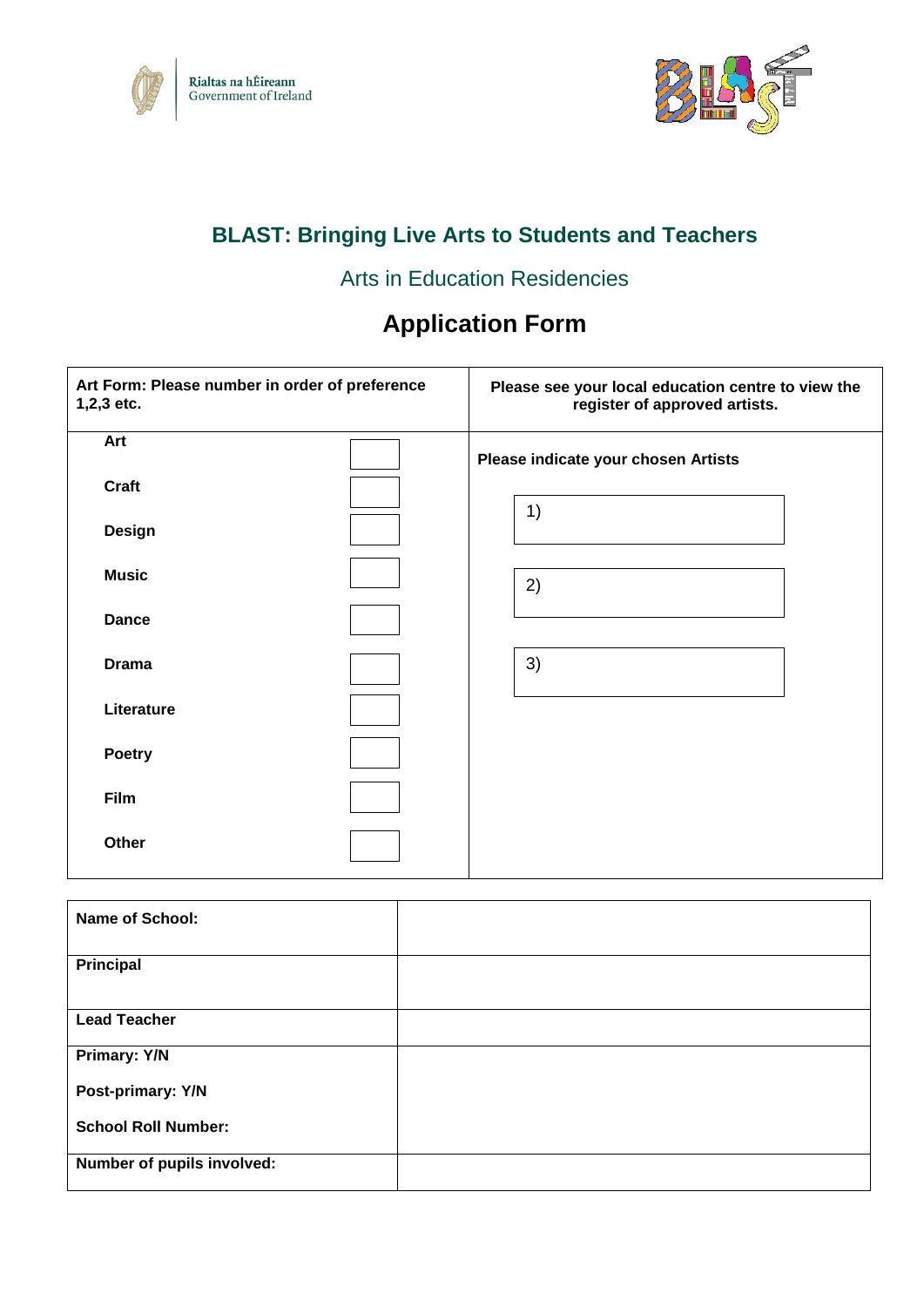



## **BLAST: Bringing Live Arts to Students and Teachers**

### Arts in Education Residencies

# **Application Form**

| Art Form: Please number in order of preference<br>1,2,3 etc. | Please see your local education centre to view the<br>register of approved artists. |
|--------------------------------------------------------------|-------------------------------------------------------------------------------------|
| Art                                                          | Please indicate your chosen Artists                                                 |
| <b>Craft</b>                                                 | 1)                                                                                  |
| <b>Design</b>                                                |                                                                                     |
| <b>Music</b>                                                 | 2)                                                                                  |
| <b>Dance</b>                                                 |                                                                                     |
| <b>Drama</b>                                                 | 3)                                                                                  |
| Literature                                                   |                                                                                     |
| <b>Poetry</b>                                                |                                                                                     |
| Film                                                         |                                                                                     |
| Other                                                        |                                                                                     |

| <b>Name of School:</b>     |  |
|----------------------------|--|
| Principal                  |  |
| <b>Lead Teacher</b>        |  |
| Primary: Y/N               |  |
| Post-primary: Y/N          |  |
| <b>School Roll Number:</b> |  |
| Number of pupils involved: |  |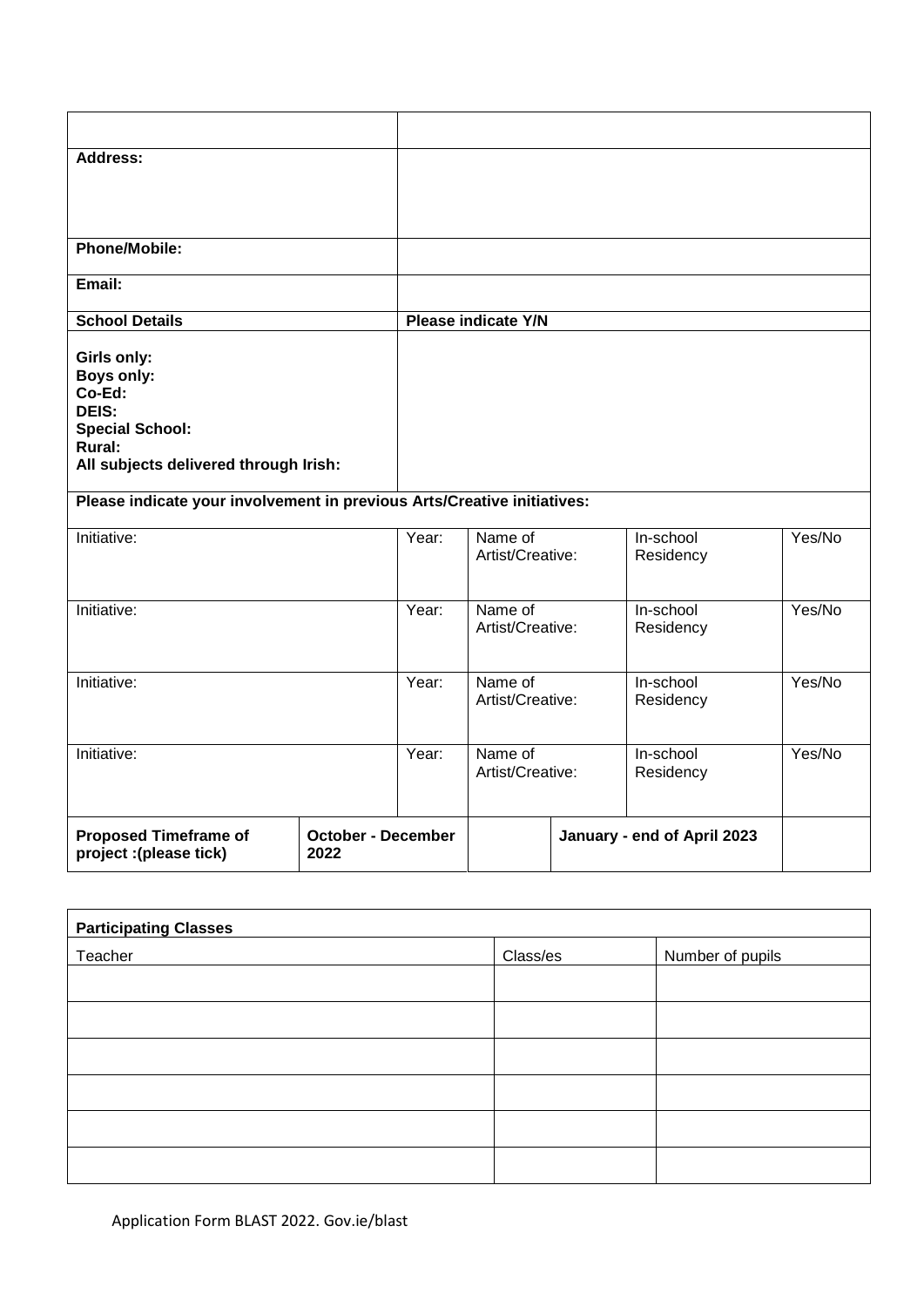| Address:                                                                                                                         |                                   |       |                             |                             |        |
|----------------------------------------------------------------------------------------------------------------------------------|-----------------------------------|-------|-----------------------------|-----------------------------|--------|
| Phone/Mobile:                                                                                                                    |                                   |       |                             |                             |        |
| Email:                                                                                                                           |                                   |       |                             |                             |        |
| <b>School Details</b>                                                                                                            |                                   |       | <b>Please indicate Y/N</b>  |                             |        |
| Girls only:<br><b>Boys only:</b><br>Co-Ed:<br>DEIS:<br><b>Special School:</b><br>Rural:<br>All subjects delivered through Irish: |                                   |       |                             |                             |        |
| Please indicate your involvement in previous Arts/Creative initiatives:                                                          |                                   |       |                             |                             |        |
| Initiative:                                                                                                                      |                                   | Year: | Name of<br>Artist/Creative: | In-school<br>Residency      | Yes/No |
| Initiative:                                                                                                                      |                                   | Year: | Name of<br>Artist/Creative: | In-school<br>Residency      | Yes/No |
| Initiative:                                                                                                                      |                                   | Year: | Name of<br>Artist/Creative: | In-school<br>Residency      | Yes/No |
| Initiative:                                                                                                                      |                                   | Year: | Name of<br>Artist/Creative: | In-school<br>Residency      | Yes/No |
| <b>Proposed Timeframe of</b><br>project :(please tick)                                                                           | <b>October - December</b><br>2022 |       |                             | January - end of April 2023 |        |
|                                                                                                                                  |                                   |       |                             |                             |        |

| <b>Participating Classes</b> |          |                  |  |  |  |
|------------------------------|----------|------------------|--|--|--|
| Teacher                      | Class/es | Number of pupils |  |  |  |
|                              |          |                  |  |  |  |
|                              |          |                  |  |  |  |
|                              |          |                  |  |  |  |
|                              |          |                  |  |  |  |
|                              |          |                  |  |  |  |
|                              |          |                  |  |  |  |

 $\mathsf{r}$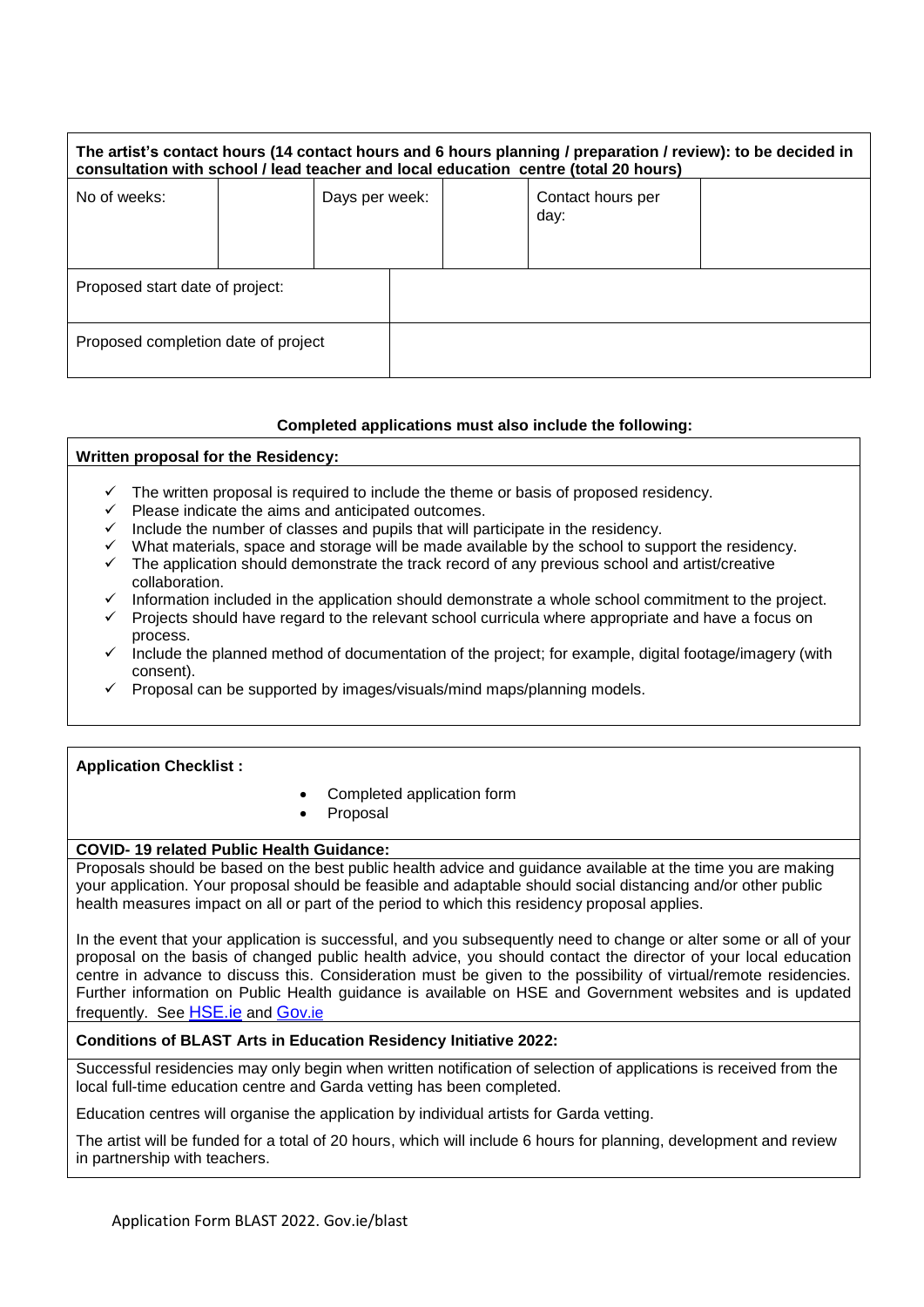| The artist's contact hours (14 contact hours and 6 hours planning / preparation / review): to be decided in<br>consultation with school / lead teacher and local education centre (total 20 hours) |  |                |  |  |                           |  |
|----------------------------------------------------------------------------------------------------------------------------------------------------------------------------------------------------|--|----------------|--|--|---------------------------|--|
| No of weeks:                                                                                                                                                                                       |  | Days per week: |  |  | Contact hours per<br>day: |  |
| Proposed start date of project:                                                                                                                                                                    |  |                |  |  |                           |  |
| Proposed completion date of project                                                                                                                                                                |  |                |  |  |                           |  |

#### **Completed applications must also include the following:**

| Written proposal for the Residency: |                                                                                                                  |  |  |  |  |  |
|-------------------------------------|------------------------------------------------------------------------------------------------------------------|--|--|--|--|--|
| ✓                                   | The written proposal is required to include the theme or basis of proposed residency.                            |  |  |  |  |  |
| ✓                                   | Please indicate the aims and anticipated outcomes.                                                               |  |  |  |  |  |
| $\checkmark$                        | Include the number of classes and pupils that will participate in the residency.                                 |  |  |  |  |  |
| ✓                                   | What materials, space and storage will be made available by the school to support the residency.                 |  |  |  |  |  |
| ✓                                   | The application should demonstrate the track record of any previous school and artist/creative<br>collaboration. |  |  |  |  |  |
| ✓                                   | Information included in the application should demonstrate a whole school commitment to the project.             |  |  |  |  |  |
|                                     | $\sim$ Drojects should have regard to the relayant school surrigula where appropriate and have a feeus on        |  |  |  |  |  |

- ✓ Projects should have regard to the relevant school curricula where appropriate and have a focus on process.
- Include the planned method of documentation of the project; for example, digital footage/imagery (with consent).
- Proposal can be supported by images/visuals/mind maps/planning models.

#### **Application Checklist :**

- Completed application form
- **Proposal**

### **COVID- 19 related Public Health Guidance:**

Proposals should be based on the best public health advice and guidance available at the time you are making your application. Your proposal should be feasible and adaptable should social distancing and/or other public health measures impact on all or part of the period to which this residency proposal applies.

In the event that your application is successful, and you subsequently need to change or alter some or all of your proposal on the basis of changed public health advice, you should contact the director of your local education centre in advance to discuss this. Consideration must be given to the possibility of virtual/remote residencies. Further information on Public Health guidance is available on HSE and Government websites and is updated frequently. See [HSE.ie](https://www.hse.ie/eng/) and [Go](https://www.gov.ie/en/)v.ie

#### **Conditions of BLAST Arts in Education Residency Initiative 2022:**

Successful residencies may only begin when written notification of selection of applications is received from the local full-time education centre and Garda vetting has been completed.

Education centres will organise the application by individual artists for Garda vetting.

The artist will be funded for a total of 20 hours, which will include 6 hours for planning, development and review in partnership with teachers.